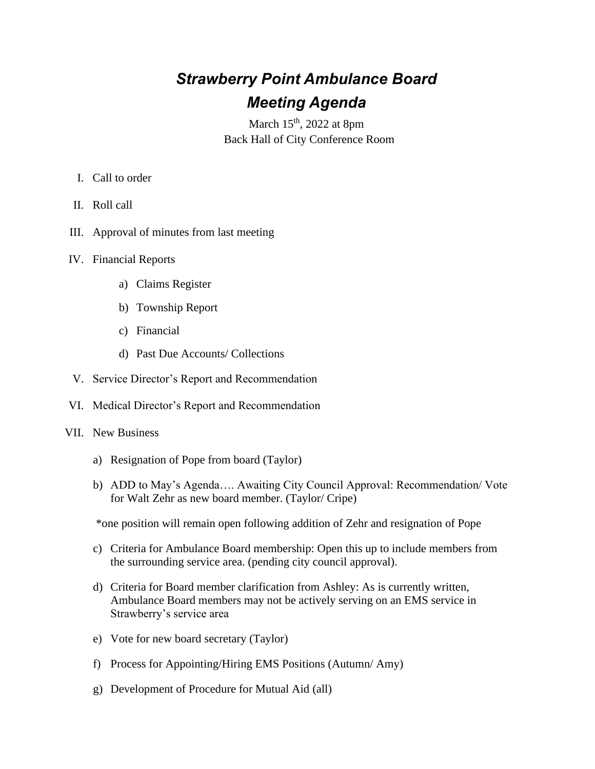## *Strawberry Point Ambulance Board Meeting Agenda*

March 15<sup>th</sup>, 2022 at 8pm Back Hall of City Conference Room

- I. Call to order
- II. Roll call
- III. Approval of minutes from last meeting
- IV. Financial Reports
	- a) Claims Register
	- b) Township Report
	- c) Financial
	- d) Past Due Accounts/ Collections
- V. Service Director's Report and Recommendation
- VI. Medical Director's Report and Recommendation
- VII. New Business
	- a) Resignation of Pope from board (Taylor)
	- b) ADD to May's Agenda…. Awaiting City Council Approval: Recommendation/ Vote for Walt Zehr as new board member. (Taylor/ Cripe)
	- \*one position will remain open following addition of Zehr and resignation of Pope
	- c) Criteria for Ambulance Board membership: Open this up to include members from the surrounding service area. (pending city council approval).
	- d) Criteria for Board member clarification from Ashley: As is currently written, Ambulance Board members may not be actively serving on an EMS service in Strawberry's service area
	- e) Vote for new board secretary (Taylor)
	- f) Process for Appointing/Hiring EMS Positions (Autumn/ Amy)
	- g) Development of Procedure for Mutual Aid (all)